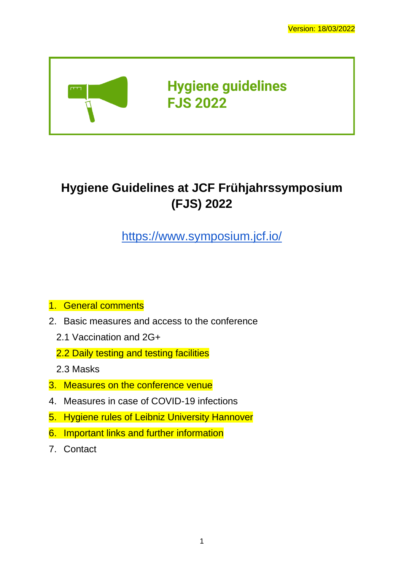

# **Hygiene Guidelines at JCF Frühjahrssymposium (FJS) 2022**

<https://www.symposium.jcf.io/>

- 1. [General comments](#page-1-0)
- 2. [Basic measures and access to the conference](#page-1-1)
	- [2.1 Vaccination and 2G+](#page-1-2)
	- [2.2 Daily testing and testing facilities](#page-2-0)
	- [2.3 Masks](#page-4-0)
- 3. [Measures on the conference venue](#page-4-1)
- 4. [Measures in case of COVID-19 infections](#page-6-0)
- 5. [Hygiene rules of Leibniz University Hannover](#page-6-1)
- 6. [Important links and further information](#page-7-0)
- 7. [Contact](#page-7-1)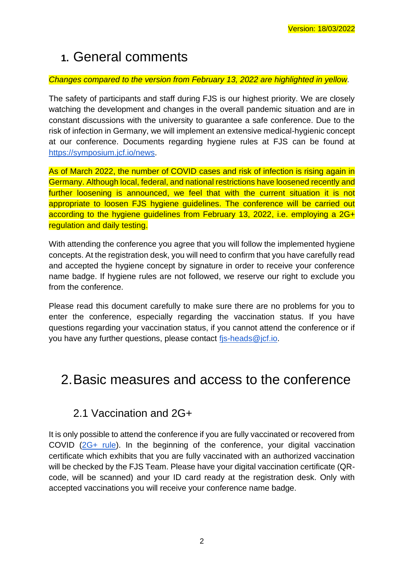# <span id="page-1-0"></span>**1.** General comments

#### *Changes compared to the version from February 13, 2022 are highlighted in yellow.*

The safety of participants and staff during FJS is our highest priority. We are closely watching the development and changes in the overall pandemic situation and are in constant discussions with the university to guarantee a safe conference. Due to the risk of infection in Germany, we will implement an extensive medical-hygienic concept at our conference. Documents regarding hygiene rules at FJS can be found at [https://symposium.jcf.io/news.](https://symposium.jcf.io/news)

As of March 2022, the number of COVID cases and risk of infection is rising again in Germany. Although local, federal, and national restrictions have loosened recently and further loosening is announced, we feel that with the current situation it is not appropriate to loosen FJS hygiene guidelines. The conference will be carried out according to the hygiene guidelines from February 13, 2022, i.e. employing a 2G+ regulation and daily testing.

With attending the conference you agree that you will follow the implemented hygiene concepts. At the registration desk, you will need to confirm that you have carefully read and accepted the hygiene concept by signature in order to receive your conference name badge. If hygiene rules are not followed, we reserve our right to exclude you from the conference.

Please read this document carefully to make sure there are no problems for you to enter the conference, especially regarding the vaccination status. If you have questions regarding your vaccination status, if you cannot attend the conference or if you have any further questions, please contact [fjs-heads@jcf.io.](mailto:fjs-heads@jcf.io)

## <span id="page-1-1"></span>2.Basic measures and access to the conference

### <span id="page-1-2"></span>2.1 Vaccination and 2G+

It is only possible to attend the conference if you are fully vaccinated or recovered from COVID [\(2G+ rule\)](https://www.integrationsbeauftragte.de/ib-de/staatsministerin/corona/what-do-you-currently-need-to-know-about-corona-englisch--1876282). In the beginning of the conference, your digital vaccination certificate which exhibits that you are fully vaccinated with an authorized vaccination will be checked by the FJS Team. Please have your digital vaccination certificate (QRcode, will be scanned) and your ID card ready at the registration desk. Only with accepted vaccinations you will receive your conference name badge.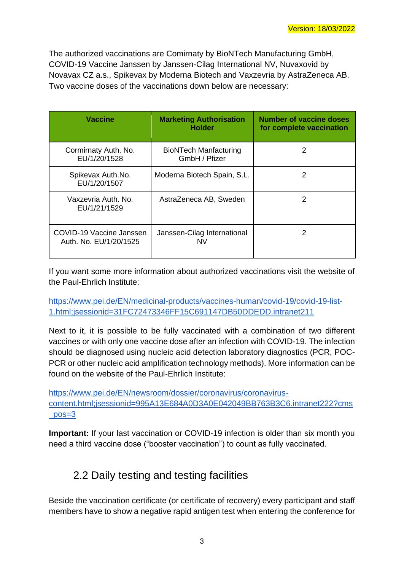The authorized vaccinations are Comirnaty by BioNTech Manufacturing GmbH, COVID-19 Vaccine Janssen by Janssen-Cilag International NV, Nuvaxovid by Novavax CZ a.s., Spikevax by Moderna Biotech and Vaxzevria by AstraZeneca AB. Two vaccine doses of the vaccinations down below are necessary:

| <b>Vaccine</b>                                     | <b>Marketing Authorisation</b><br><b>Holder</b> | <b>Number of vaccine doses</b><br>for complete vaccination |
|----------------------------------------------------|-------------------------------------------------|------------------------------------------------------------|
| Cormirnaty Auth. No.<br>EU/1/20/1528               | <b>BioNTech Manfacturing</b><br>GmbH / Pfizer   | 2                                                          |
| Spikevax Auth.No.<br>EU/1/20/1507                  | Moderna Biotech Spain, S.L.                     | 2                                                          |
| Vaxzevria Auth, No.<br>EU/1/21/1529                | AstraZeneca AB, Sweden                          | $\mathcal{P}$                                              |
| COVID-19 Vaccine Janssen<br>Auth. No. EU/1/20/1525 | Janssen-Cilag International<br>NV               | 2                                                          |

If you want some more information about authorized vaccinations visit the website of the Paul-Ehrlich Institute:

[https://www.pei.de/EN/medicinal-products/vaccines-human/covid-19/covid-19-list-](https://www.pei.de/EN/medicinal-products/vaccines-human/covid-19/covid-19-list-1.html;jsessionid=31FC72473346FF15C691147DB50DDEDD.intranet211)[1.html;jsessionid=31FC72473346FF15C691147DB50DDEDD.intranet211](https://www.pei.de/EN/medicinal-products/vaccines-human/covid-19/covid-19-list-1.html;jsessionid=31FC72473346FF15C691147DB50DDEDD.intranet211)

Next to it, it is possible to be fully vaccinated with a combination of two different vaccines or with only one vaccine dose after an infection with COVID-19. The infection should be diagnosed using nucleic acid detection laboratory diagnostics (PCR, POC-PCR or other nucleic acid amplification technology methods). More information can be found on the website of the Paul-Ehrlich Institute:

[https://www.pei.de/EN/newsroom/dossier/coronavirus/coronavirus](https://www.pei.de/EN/newsroom/dossier/coronavirus/coronavirus-content.html;jsessionid=995A13E684A0D3A0E042049BB763B3C6.intranet222?cms_pos=3)[content.html;jsessionid=995A13E684A0D3A0E042049BB763B3C6.intranet222?cms](https://www.pei.de/EN/newsroom/dossier/coronavirus/coronavirus-content.html;jsessionid=995A13E684A0D3A0E042049BB763B3C6.intranet222?cms_pos=3)  $pos=3$ 

**Important:** If your last vaccination or COVID-19 infection is older than six month you need a third vaccine dose ("booster vaccination") to count as fully vaccinated.

### <span id="page-2-0"></span>2.2 Daily testing and testing facilities

Beside the vaccination certificate (or certificate of recovery) every participant and staff members have to show a negative rapid antigen test when entering the conference for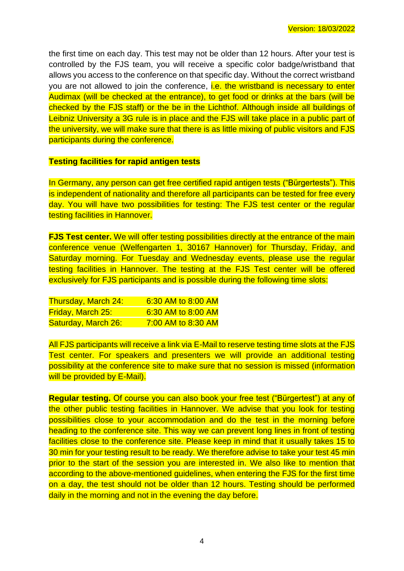the first time on each day. This test may not be older than 12 hours. After your test is controlled by the FJS team, you will receive a specific color badge/wristband that allows you access to the conference on that specific day. Without the correct wristband you are not allowed to join the conference, i.e. the wristband is necessary to enter Audimax (will be checked at the entrance), to get food or drinks at the bars (will be checked by the FJS staff) or the be in the Lichthof. Although inside all buildings of Leibniz University a 3G rule is in place and the FJS will take place in a public part of the university, we will make sure that there is as little mixing of public visitors and FJS participants during the conference.

#### **Testing facilities for rapid antigen tests**

In Germany, any person can get free certified rapid antigen tests ("Bürgertests"). This is independent of nationality and therefore all participants can be tested for free every day. You will have two possibilities for testing: The FJS test center or the regular testing facilities in Hannover.

**FJS Test center.** We will offer testing possibilities directly at the entrance of the main conference venue (Welfengarten 1, 30167 Hannover) for Thursday, Friday, and Saturday morning. For Tuesday and Wednesday events, please use the regular testing facilities in Hannover. The testing at the FJS Test center will be offered exclusively for FJS participants and is possible during the following time slots:

| <u>Thursday, March 24:</u> | 6:30 AM to 8:00 AM |
|----------------------------|--------------------|
| <b>Friday, March 25:</b>   | 6:30 AM to 8:00 AM |
| Saturday, March 26:        | 7:00 AM to 8:30 AM |

All FJS participants will receive a link via E-Mail to reserve testing time slots at the FJS Test center. For speakers and presenters we will provide an additional testing possibility at the conference site to make sure that no session is missed (information will be provided by E-Mail).

**Regular testing.** Of course you can also book your free test ("Bürgertest") at any of the other public testing facilities in Hannover. We advise that you look for testing possibilities close to your accommodation and do the test in the morning before heading to the conference site. This way we can prevent long lines in front of testing facilities close to the conference site. Please keep in mind that it usually takes 15 to 30 min for your testing result to be ready. We therefore advise to take your test 45 min prior to the start of the session you are interested in. We also like to mention that according to the above-mentioned guidelines, when entering the FJS for the first time on a day, the test should not be older than 12 hours. Testing should be performed daily in the morning and not in the evening the day before.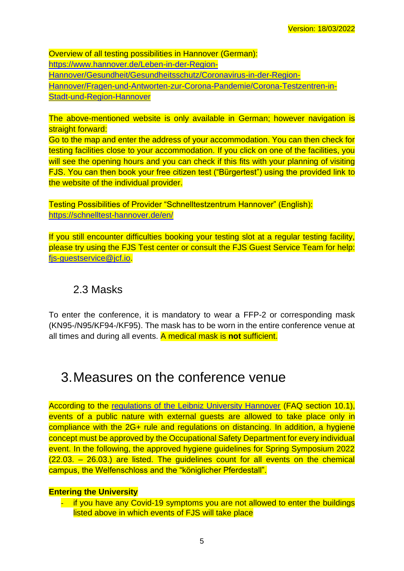Overview of all testing possibilities in Hannover (German): [https://www.hannover.de/Leben-in-der-Region-](https://www.hannover.de/Leben-in-der-Region-Hannover/Gesundheit/Gesundheitsschutz/Coronavirus-in-der-Region-Hannover/Fragen-und-Antworten-zur-Corona-Pandemie/Corona-Testzentren-in-Stadt-und-Region-Hannover)[Hannover/Gesundheit/Gesundheitsschutz/Coronavirus-in-der-Region-](https://www.hannover.de/Leben-in-der-Region-Hannover/Gesundheit/Gesundheitsschutz/Coronavirus-in-der-Region-Hannover/Fragen-und-Antworten-zur-Corona-Pandemie/Corona-Testzentren-in-Stadt-und-Region-Hannover)[Hannover/Fragen-und-Antworten-zur-Corona-Pandemie/Corona-Testzentren-in-](https://www.hannover.de/Leben-in-der-Region-Hannover/Gesundheit/Gesundheitsschutz/Coronavirus-in-der-Region-Hannover/Fragen-und-Antworten-zur-Corona-Pandemie/Corona-Testzentren-in-Stadt-und-Region-Hannover)[Stadt-und-Region-Hannover](https://www.hannover.de/Leben-in-der-Region-Hannover/Gesundheit/Gesundheitsschutz/Coronavirus-in-der-Region-Hannover/Fragen-und-Antworten-zur-Corona-Pandemie/Corona-Testzentren-in-Stadt-und-Region-Hannover)

The above-mentioned website is only available in German; however navigation is straight forward:

Go to the map and enter the address of your accommodation. You can then check for testing facilities close to your accommodation. If you click on one of the facilities, you will see the opening hours and you can check if this fits with your planning of visiting FJS. You can then book your free citizen test ("Bürgertest") using the provided link to the website of the individual provider.

Testing Possibilities of Provider "Schnelltestzentrum Hannover" (English): <https://schnelltest-hannover.de/en/>

If you still encounter difficulties booking your testing slot at a regular testing facility, please try using the FJS Test center or consult the FJS Guest Service Team for help: [fjs-guestservice@jcf.io.](mailto:fjs-guestservice@jcf.io)

### <span id="page-4-0"></span>2.3 Masks

To enter the conference, it is mandatory to wear a FFP-2 or corresponding mask (KN95-/N95/KF94-/KF95). The mask has to be worn in the entire conference venue at all times and during all events. A medical mask is **not** sufficient.

## <span id="page-4-1"></span>3.Measures on the conference venue

According to the [regulations of the Leibniz University Hannover](https://www.uni-hannover.de/en/universitaet/aktuelles/corona/#c68953) (FAQ section 10.1), events of a public nature with external guests are allowed to take place only in compliance with the 2G+ rule and regulations on distancing. In addition, a hygiene concept must be approved by the Occupational Safety Department for every individual event. In the following, the approved hygiene guidelines for Spring Symposium 2022  $(22.03. - 26.03.)$  are listed. The guidelines count for all events on the chemical campus, the Welfenschloss and the "königlicher Pferdestall".

#### **Entering the University**

- if you have any Covid-19 symptoms you are not allowed to enter the buildings listed above in which events of FJS will take place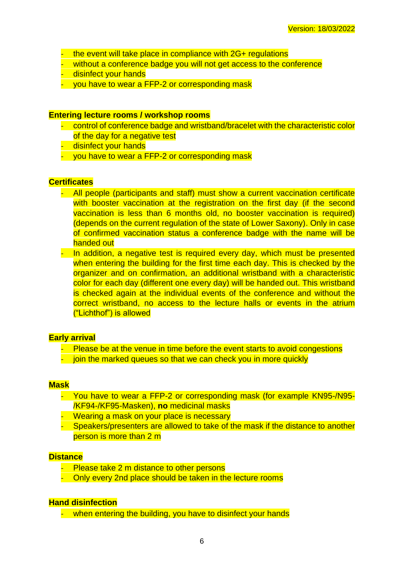- the event will take place in compliance with 2G+ regulations
- without a conference badge you will not get access to the conference
- disinfect your hands
- you have to wear a FFP-2 or corresponding mask

#### **Entering lecture rooms / workshop rooms**

- control of conference badge and wristband/bracelet with the characteristic color of the day for a negative test
- disinfect your hands
- you have to wear a FFP-2 or corresponding mask

#### **Certificates**

- All people (participants and staff) must show a current vaccination certificate with booster vaccination at the registration on the first day (if the second vaccination is less than 6 months old, no booster vaccination is required) (depends on the current regulation of the state of Lower Saxony). Only in case of confirmed vaccination status a conference badge with the name will be handed out
- In addition, a negative test is required every day, which must be presented when entering the building for the first time each day. This is checked by the organizer and on confirmation, an additional wristband with a characteristic color for each day (different one every day) will be handed out. This wristband is checked again at the individual events of the conference and without the correct wristband, no access to the lecture halls or events in the atrium ("Lichthof") is allowed

#### **Early arrival**

- Please be at the venue in time before the event starts to avoid congestions
- join the marked queues so that we can check you in more quickly

#### **Mask**

- You have to wear a FFP-2 or corresponding mask (for example KN95-/N95- /KF94-/KF95-Masken), **no** medicinal masks
- Wearing a mask on your place is necessary
- Speakers/presenters are allowed to take of the mask if the distance to another person is more than 2 m

#### **Distance**

- Please take 2 m distance to other persons
- Only every 2nd place should be taken in the lecture rooms

#### **Hand disinfection**

- when entering the building, you have to disinfect your hands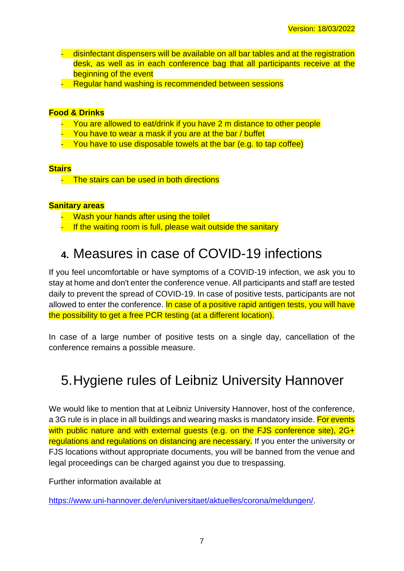- disinfectant dispensers will be available on all bar tables and at the registration desk, as well as in each conference bag that all participants receive at the beginning of the event
- Regular hand washing is recommended between sessions

#### **Food & Drinks**

- You are allowed to eat/drink if you have 2 m distance to other people
- You have to wear a mask if you are at the bar / buffet
- You have to use disposable towels at the bar (e.g. to tap coffee)

#### **Stairs**

- The stairs can be used in both directions

#### **Sanitary areas**

- Wash your hands after using the toilet
- If the waiting room is full, please wait outside the sanitary

## <span id="page-6-0"></span>**4.** Measures in case of COVID-19 infections

If you feel uncomfortable or have symptoms of a COVID-19 infection, we ask you to stay at home and don't enter the conference venue. All participants and staff are tested daily to prevent the spread of COVID-19. In case of positive tests, participants are not allowed to enter the conference. In case of a positive rapid antigen tests, you will have the possibility to get a free PCR testing (at a different location).

In case of a large number of positive tests on a single day, cancellation of the conference remains a possible measure.

# <span id="page-6-1"></span>5.Hygiene rules of Leibniz University Hannover

We would like to mention that at Leibniz University Hannover, host of the conference, a 3G rule is in place in all buildings and wearing masks is mandatory inside. For events with public nature and with external quests (e.g. on the FJS conference site), 2G+ regulations and regulations on distancing are necessary. If you enter the university or FJS locations without appropriate documents, you will be banned from the venue and legal proceedings can be charged against you due to trespassing.

Further information available at

[https://www.uni-hannover.de/en/universitaet/aktuelles/corona/meldungen/.](https://www.uni-hannover.de/en/universitaet/aktuelles/corona/meldungen/)